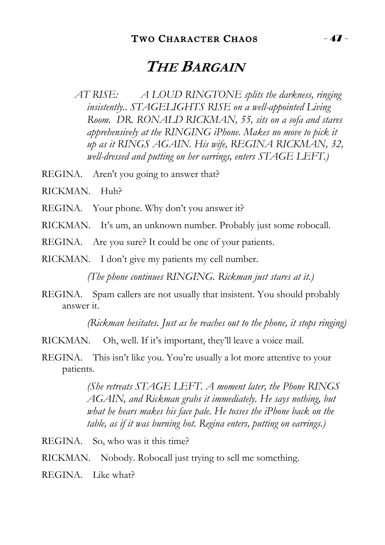## **THE BARGAIN**

*AT RISE: A LOUD RINGTONE splits the darkness, ringing insistently.. STAGELIGHTS RISE on a well-appointed Living Room. DR. RONALD RICKMAN, 55, sits on a sofa and stares apprehensively at the RINGING iPhone. Makes no move to pick it up as it RINGS AGAIN. His wife, REGINA RICKMAN, 32, well-dressed and putting on her earrings, enters STAGE LEFT.)*

REGINA. Aren't you going to answer that?

RICKMAN. Huh?

REGINA. Your phone. Why don't you answer it?

RICKMAN. It's um, an unknown number. Probably just some robocall.

REGINA. Are you sure? It could be one of your patients.

RICKMAN. I don't give my patients my cell number.

*(The phone continues RINGING. Rickman just stares at it.)*

REGINA. Spam callers are not usually that insistent. You should probably answer it.

*(Rickman hesitates. Just as he reaches out to the phone, it stops ringing)*

RICKMAN. Oh, well. If it's important, they'll leave a voice mail.

REGINA. This isn't like you. You're usually a lot more attentive to your patients.

> *(She retreats STAGE LEFT. A moment later, the Phone RINGS AGAIN, and Rickman grabs it immediately. He says nothing, but what he hears makes his face pale. He tosses the iPhone back on the table, as if it was burning hot. Regina enters, putting on earrings.)*

REGINA. So, who was it this time?

RICKMAN. Nobody. Robocall just trying to sell me something.

REGINA. Like what?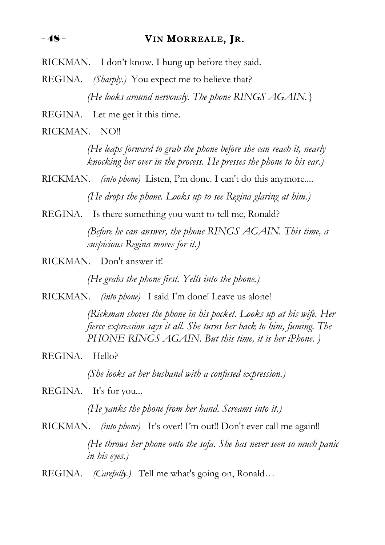$-48$  - VIN MORREALE, JR.

RICKMAN. I don't know. I hung up before they said.

REGINA. *(Sharply.)* You expect me to believe that? *(He looks around nervously. The phone RINGS AGAIN.}*

REGINA. Let me get it this time.

RICKMAN. NO!!

*(He leaps forward to grab the phone before she can reach it, nearly knocking her over in the process. He presses the phone to his ear.)*

RICKMAN. *(into phone)* Listen, I'm done. I can't do this anymore.... *(He drops the phone. Looks up to see Regina glaring at him.)*

REGINA. Is there something you want to tell me, Ronald?

*(Before he can answer, the phone RINGS AGAIN. This time, a suspicious Regina moves for it.)*

RICKMAN. Don't answer it!

*(He grabs the phone first. Yells into the phone.)*

RICKMAN. *(into phone)* I said I'm done! Leave us alone!

*(Rickman shoves the phone in his pocket. Looks up at his wife. Her fierce expression says it all. She turns her back to him, fuming. The PHONE RINGS AGAIN. But this time, it is her iPhone. )*

REGINA. Hello?

*(She looks at her husband with a confused expression.)*

REGINA. It's for you...

*(He yanks the phone from her hand. Screams into it.)*

RICKMAN. *(into phone)* It's over! I'm out!! Don't ever call me again!! *(He throws her phone onto the sofa. She has never seen so much panic in his eyes.)*

REGINA. *(Carefully.)* Tell me what's going on, Ronald…